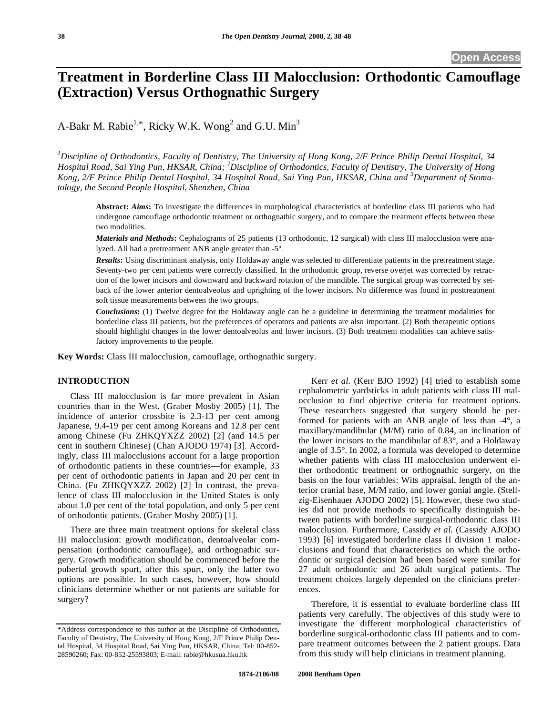# **Treatment in Borderline Class III Malocclusion: Orthodontic Camouflage (Extraction) Versus Orthognathic Surgery**

A-Bakr M. Rabie $^{1,*}$ , Ricky W.K. Wong<sup>2</sup> and G.U. Min<sup>3</sup>

*1 Discipline of Orthodontics, Faculty of Dentistry, The University of Hong Kong, 2/F Prince Philip Dental Hospital, 34 Hospital Road, Sai Ying Pun, HKSAR, China; <sup>2</sup> Discipline of Orthodontics, Faculty of Dentistry, The University of Hong Kong, 2/F Prince Philip Dental Hospital, 34 Hospital Road, Sai Ying Pun, HKSAR, China and <sup>3</sup> Department of Stomatology, the Second People Hospital, Shenzhen, China* 

**Abstract:** *Aims***:** To investigate the differences in morphological characteristics of borderline class III patients who had undergone camouflage orthodontic treatment or orthognathic surgery, and to compare the treatment effects between these two modalities.

*Materials and Methods***:** Cephalograms of 25 patients (13 orthodontic, 12 surgical) with class III malocclusion were analyzed. All had a pretreatment ANB angle greater than -5º.

*Results***:** Using discriminant analysis, only Holdaway angle was selected to differentiate patients in the pretreatment stage. Seventy-two per cent patients were correctly classified. In the orthodontic group, reverse overjet was corrected by retraction of the lower incisors and downward and backward rotation of the mandible. The surgical group was corrected by setback of the lower anterior dentoalveolus and uprighting of the lower incisors. No difference was found in posttreatment soft tissue measurements between the two groups.

*Conclusions***:** (1) Twelve degree for the Holdaway angle can be a guideline in determining the treatment modalities for borderline class III patients, but the preferences of operators and patients are also important. (2) Both therapeutic options should highlight changes in the lower dentoalveolus and lower incisors. (3) Both treatment modalities can achieve satisfactory improvements to the people.

**Key Words:** Class III malocclusion, camouflage, orthognathic surgery.

### **INTRODUCTION**

 Class III malocclusion is far more prevalent in Asian countries than in the West. (Graber Mosby 2005) [1]. The incidence of anterior crossbite is 2.3-13 per cent among Japanese, 9.4-19 per cent among Koreans and 12.8 per cent among Chinese (Fu ZHKQYXZZ 2002) [2] (and 14.5 per cent in southern Chinese) (Chan AJODO 1974) [3]. Accordingly, class III malocclusions account for a large proportion of orthodontic patients in these countries—for example, 33 per cent of orthodontic patients in Japan and 20 per cent in China. (Fu ZHKQYXZZ 2002) [2] In contrast, the prevalence of class III malocclusion in the United States is only about 1.0 per cent of the total population, and only 5 per cent of orthodontic patients. (Graber Mosby 2005) [1].

 There are three main treatment options for skeletal class III malocclusion: growth modification, dentoalveolar compensation (orthodontic camouflage), and orthognathic surgery. Growth modification should be commenced before the pubertal growth spurt, after this spurt, only the latter two options are possible. In such cases, however, how should clinicians determine whether or not patients are suitable for surgery?

 Kerr *et al.* (Kerr BJO 1992) [4] tried to establish some cephalometric yardsticks in adult patients with class III malocclusion to find objective criteria for treatment options. These researchers suggested that surgery should be performed for patients with an ANB angle of less than -4°, a maxillary/mandibular (M/M) ratio of 0.84, an inclination of the lower incisors to the mandibular of 83°, and a Holdaway angle of 3.5°. In 2002, a formula was developed to determine whether patients with class III malocclusion underwent either orthodontic treatment or orthognathic surgery, on the basis on the four variables: Wits appraisal, length of the anterior cranial base, M/M ratio, and lower gonial angle. (Stellzig-Eisenhauer AJODO 2002) [5]. However, these two studies did not provide methods to specifically distinguish between patients with borderline surgical-orthodontic class III malocclusion. Furthermore, Cassidy *et al.* (Cassidy AJODO 1993) [6] investigated borderline class II division 1 malocclusions and found that characteristics on which the orthodontic or surgical decision had been based were similar for 27 adult orthodontic and 26 adult surgical patients. The treatment choices largely depended on the clinicians preferences.

 Therefore, it is essential to evaluate borderline class III patients very carefully. The objectives of this study were to investigate the different morphological characteristics of borderline surgical-orthodontic class III patients and to compare treatment outcomes between the 2 patient groups. Data from this study will help clinicians in treatment planning.

<sup>\*</sup>Address correspondence to this author at the Discipline of Orthodontics, Faculty of Dentistry, The University of Hong Kong, 2/F Prince Philip Dental Hospital, 34 Hospital Road, Sai Ying Pun, HKSAR, China; Tel: 00-852- 28590260; Fax: 00-852-25593803; E-mail: rabie@hkusua.hku.hk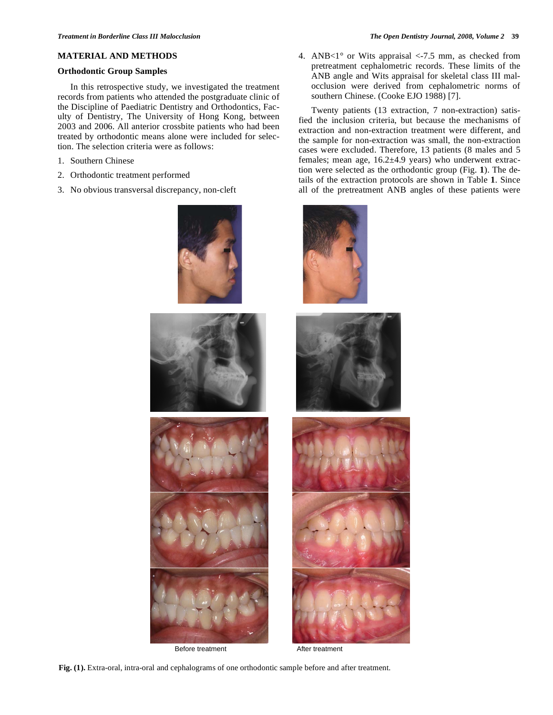# **MATERIAL AND METHODS**

# **Orthodontic Group Samples**

In this retrospective study, we investigated the treatment records from patients who attended the postgraduate clinic of the Discipline of Paediatric Dentistry and Orthodontics, Faculty of Dentistry, The University of Hong Kong, between 2003 and 2006. All anterior crossbite patients who had been treated by orthodontic means alone were included for selection. The selection criteria were as follows:

- 1.Southern Chinese
- 2.Orthodontic treatment performed
- 3.No obvious transversal discrepancy, non-cleft



Before treatment **Before** treatment

4.ANB<1° or Wits appraisal <-7.5 mm, as checked from pretreatment cephalometric records. These limits of the ANB angle and Wits appraisal for skeletal class III malocclusion were derived from cephalometric norms of southern Chinese. (Cooke EJO 1988) [7].

 Twenty patients (13 extraction, 7 non-extraction) satisfied the inclusion criteria, but because the mechanisms of extraction and non-extraction treatment were different, and the sample for non-extraction was small, the non-extraction cases were excluded. Therefore, 13 patients (8 males and 5 females; mean age, 16.2±4.9 years) who underwent extraction were selected as the orthodontic group (Fig. **1**). The details of the extraction protocols are shown in Table **1**. Since all of the pretreatment ANB angles of these patients were



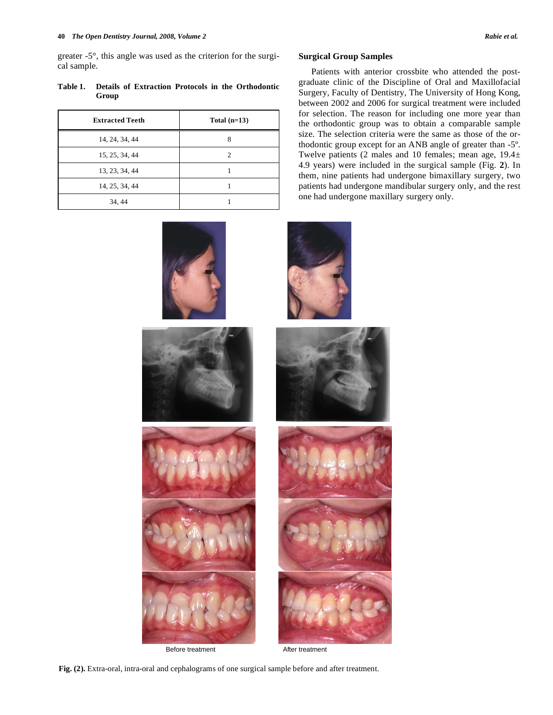greater -5°, this angle was used as the criterion for the surgical sample.

**Table 1. Details of Extraction Protocols in the Orthodontic Group** 

| <b>Extracted Teeth</b> | Total $(n=13)$ |
|------------------------|----------------|
| 14, 24, 34, 44         | 8              |
| 15, 25, 34, 44         | 2              |
| 13, 23, 34, 44         |                |
| 14, 25, 34, 44         |                |
| 34, 44                 |                |

#### **Surgical Group Samples**

Patients with anterior crossbite who attended the postgraduate clinic of the Discipline of Oral and Maxillofacial Surgery, Faculty of Dentistry, The University of Hong Kong, between 2002 and 2006 for surgical treatment were included for selection. The reason for including one more year than the orthodontic group was to obtain a comparable sample size. The selection criteria were the same as those of the orthodontic group except for an ANB angle of greater than -5º. Twelve patients (2 males and 10 females; mean age,  $19.4\pm$ 4.9 years) were included in the surgical sample (Fig. **2**). In them, nine patients had undergone bimaxillary surgery, two patients had undergone mandibular surgery only, and the rest one had undergone maxillary surgery only.



**Fig. (2).** Extra-oral, intra-oral and cephalograms of one surgical sample before and after treatment.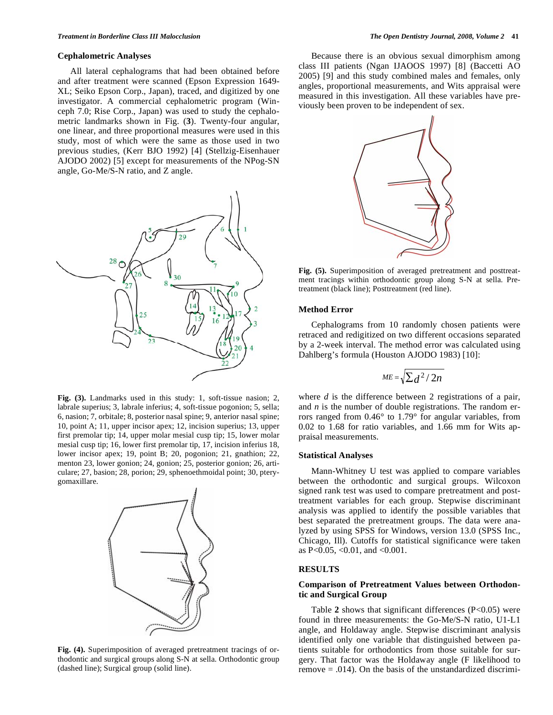#### **Cephalometric Analyses**

All lateral cephalograms that had been obtained before and after treatment were scanned (Epson Expression 1649- XL; Seiko Epson Corp., Japan), traced, and digitized by one investigator. A commercial cephalometric program (Winceph 7.0; Rise Corp., Japan) was used to study the cephalometric landmarks shown in Fig. (**3**). Twenty-four angular, one linear, and three proportional measures were used in this study, most of which were the same as those used in two previous studies, (Kerr BJO 1992) [4] (Stellzig-Eisenhauer AJODO 2002) [5] except for measurements of the NPog-SN angle, Go-Me/S-N ratio, and Z angle.



Fig. (3). Landmarks used in this study: 1, soft-tissue nasion; 2, labrale superius; 3, labrale inferius; 4, soft-tissue pogonion; 5, sella; 6, nasion; 7, orbitale; 8, posterior nasal spine; 9, anterior nasal spine; 10, point A; 11, upper incisor apex; 12, incision superius; 13, upper first premolar tip; 14, upper molar mesial cusp tip; 15, lower molar mesial cusp tip; 16, lower first premolar tip, 17, incision inferius 18, lower incisor apex; 19, point B; 20, pogonion; 21, gnathion; 22, menton 23, lower gonion; 24, gonion; 25, posterior gonion; 26, articulare; 27, basion; 28, porion; 29, sphenoethmoidal point; 30, pterygomaxillare.



**Fig. (4).** Superimposition of averaged pretreatment tracings of orthodontic and surgical groups along S-N at sella. Orthodontic group (dashed line); Surgical group (solid line).

 Because there is an obvious sexual dimorphism among class III patients (Ngan IJAOOS 1997) [8] (Baccetti AO 2005) [9] and this study combined males and females, only angles, proportional measurements, and Wits appraisal were measured in this investigation. All these variables have previously been proven to be independent of sex.



**Fig. (5).** Superimposition of averaged pretreatment and posttreatment tracings within orthodontic group along S-N at sella. Pretreatment (black line); Posttreatment (red line).

#### **Method Error**

Cephalograms from 10 randomly chosen patients were retraced and redigitized on two different occasions separated by a 2-week interval. The method error was calculated using Dahlberg's formula (Houston AJODO 1983) [10]:

$$
ME = \sqrt{\sum d^2 / 2n}
$$

where *d* is the difference between 2 registrations of a pair, and *n* is the number of double registrations. The random errors ranged from 0.46° to 1.79° for angular variables, from 0.02 to 1.68 for ratio variables, and 1.66 mm for Wits appraisal measurements.

#### **Statistical Analyses**

Mann-Whitney U test was applied to compare variables between the orthodontic and surgical groups. Wilcoxon signed rank test was used to compare pretreatment and posttreatment variables for each group. Stepwise discriminant analysis was applied to identify the possible variables that best separated the pretreatment groups. The data were analyzed by using SPSS for Windows, version 13.0 (SPSS Inc., Chicago, Ill). Cutoffs for statistical significance were taken as P<0.05, <0.01, and <0.001.

#### **RESULTS**

# **Comparison of Pretreatment Values between Orthodontic and Surgical Group**

Table  $2$  shows that significant differences ( $P<0.05$ ) were found in three measurements: the Go-Me/S-N ratio, U1-L1 angle, and Holdaway angle. Stepwise discriminant analysis identified only one variable that distinguished between patients suitable for orthodontics from those suitable for surgery. That factor was the Holdaway angle (F likelihood to remove  $= .014$ ). On the basis of the unstandardized discrimi-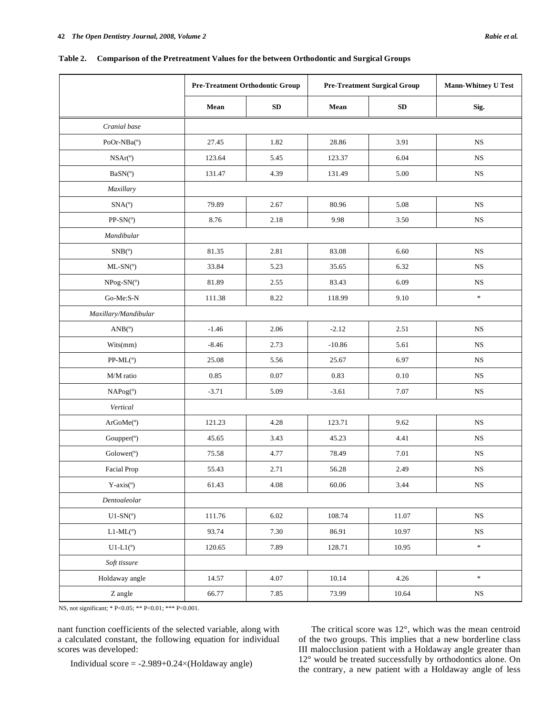|                        | <b>Pre-Treatment Orthodontic Group</b> |          | <b>Pre-Treatment Surgical Group</b> |            | <b>Mann-Whitney U Test</b> |
|------------------------|----------------------------------------|----------|-------------------------------------|------------|----------------------------|
|                        | Mean                                   | SD       | Mean                                | ${\bf SD}$ | Sig.                       |
| Cranial base           |                                        |          |                                     |            |                            |
| PoOr-NBa(°)            | 27.45                                  | 1.82     | 28.86                               | 3.91       | <b>NS</b>                  |
| NSAr(°)                | 123.64                                 | 5.45     | 123.37                              | 6.04       | $_{\rm NS}$                |
| BaSN(°)                | 131.47                                 | 4.39     | 131.49                              | 5.00       | $_{\rm NS}$                |
| Maxillary              |                                        |          |                                     |            |                            |
| SNA(°)                 | 79.89                                  | 2.67     | 80.96                               | 5.08       | $_{\rm NS}$                |
| PP-SN(°)               | 8.76                                   | 2.18     | 9.98                                | 3.50       | $_{\rm NS}$                |
| Mandibular             |                                        |          |                                     |            |                            |
| SNB(°)                 | 81.35                                  | 2.81     | 83.08                               | 6.60       | $_{\rm NS}$                |
| $ML-SN(°)$             | 33.84                                  | 5.23     | 35.65                               | 6.32       | <b>NS</b>                  |
| NPog-SN(°)             | 81.89                                  | 2.55     | 83.43                               | 6.09       | $_{\rm NS}$                |
| Go-Me:S-N              | 111.38                                 | 8.22     | 118.99                              | 9.10       | $\ast$                     |
| Maxillary/Mandibular   |                                        |          |                                     |            |                            |
| AND(°)                 | $-1.46$                                | 2.06     | $-2.12$                             | 2.51       | <b>NS</b>                  |
| Wits(mm)               | $-8.46$                                | 2.73     | $-10.86$                            | 5.61       | $_{\rm NS}$                |
| $PP-ML(°)$             | 25.08                                  | 5.56     | 25.67                               | 6.97       | <b>NS</b>                  |
| M/M ratio              | 0.85                                   | 0.07     | 0.83                                | $0.10\,$   | $_{\rm NS}$                |
| NAPog(°)               | $-3.71$                                | 5.09     | $-3.61$                             | 7.07       | $_{\rm NS}$                |
| Vertical               |                                        |          |                                     |            |                            |
| ArGoMe(°)              | 121.23                                 | 4.28     | 123.71                              | 9.62       | $_{\rm NS}$                |
| Goupper(°)             | 45.65                                  | 3.43     | 45.23                               | 4.41       | <b>NS</b>                  |
| Golower(°)             | 75.58                                  | 4.77     | 78.49                               | 7.01       | <b>NS</b>                  |
| Facial Prop            | 55.43                                  | 2.71     | 56.28                               | 2.49       | $_{\rm NS}$                |
| $Y-axis(°)$            | 61.43                                  | 4.08     | 60.06                               | 3.44       | $_{\rm NS}$                |
| Dentoaleolar           |                                        |          |                                     |            |                            |
| $U1-SN(°)$             | 111.76                                 | 6.02     | 108.74                              | 11.07      | $_{\rm NS}$                |
| $L1-ML(°)$             | 93.74                                  | $7.30\,$ | 86.91                               | 10.97      | $_{\rm NS}$                |
| $U1-L1$ <sup>o</sup> ) | 120.65                                 | 7.89     | 128.71                              | 10.95      | $\approx$                  |
| Soft tissure           |                                        |          |                                     |            |                            |
| Holdaway angle         | 14.57                                  | 4.07     | 10.14                               | 4.26       | $\ast$                     |
| Z angle                | 66.77                                  | 7.85     | 73.99                               | 10.64      | $_{\rm NS}$                |

**Table 2. Comparison of the Pretreatment Values for the between Orthodontic and Surgical Groups** 

NS, not significant; \* P<0.05; \*\* P<0.01; \*\*\* P<0.001.

nant function coefficients of the selected variable, along with a calculated constant, the following equation for individual scores was developed:

Individual score =  $-2.989+0.24\times$ (Holdaway angle)

 The critical score was 12°, which was the mean centroid of the two groups. This implies that a new borderline class III malocclusion patient with a Holdaway angle greater than 12° would be treated successfully by orthodontics alone. On the contrary, a new patient with a Holdaway angle of less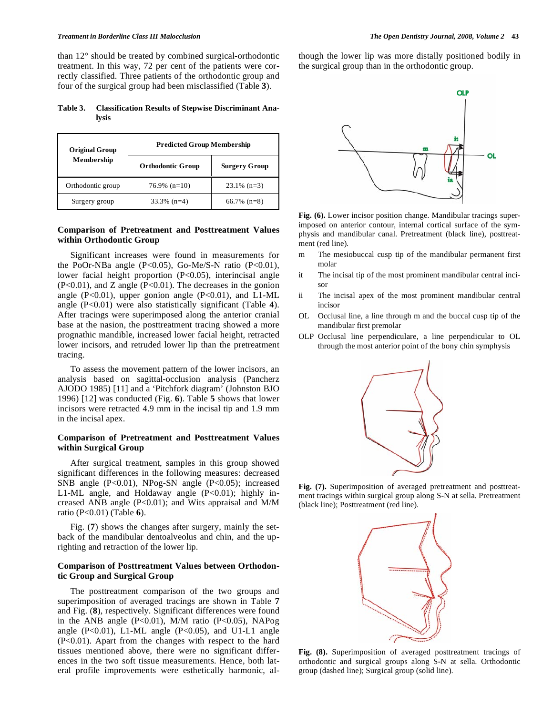than 12° should be treated by combined surgical-orthodontic treatment. In this way, 72 per cent of the patients were correctly classified. Three patients of the orthodontic group and four of the surgical group had been misclassified (Table **3**).

# **Table 3. Classification Results of Stepwise Discriminant Analysis**

| <b>Original Group</b> | <b>Predicted Group Membership</b> |                      |  |  |
|-----------------------|-----------------------------------|----------------------|--|--|
| Membership            | <b>Orthodontic Group</b>          | <b>Surgery Group</b> |  |  |
| Orthodontic group     | $76.9\%$ (n=10)                   | $23.1\%$ (n=3)       |  |  |
| Surgery group         | $33.3\%$ (n=4)                    | $66.7\%$ (n=8)       |  |  |

#### **Comparison of Pretreatment and Posttreatment Values within Orthodontic Group**

Significant increases were found in measurements for the PoOr-NBa angle  $(P<0.05)$ , Go-Me/S-N ratio  $(P<0.01)$ , lower facial height proportion (P<0.05), interincisal angle (P<0.01), and Z angle (P<0.01). The decreases in the gonion angle  $(P<0.01)$ , upper gonion angle  $(P<0.01)$ , and L1-ML angle (P<0.01) were also statistically significant (Table **4**). After tracings were superimposed along the anterior cranial base at the nasion, the posttreatment tracing showed a more prognathic mandible, increased lower facial height, retracted lower incisors, and retruded lower lip than the pretreatment tracing.

 To assess the movement pattern of the lower incisors, an analysis based on sagittal-occlusion analysis (Pancherz AJODO 1985) [11] and a 'Pitchfork diagram' (Johnston BJO 1996) [12] was conducted (Fig. **6**). Table **5** shows that lower incisors were retracted 4.9 mm in the incisal tip and 1.9 mm in the incisal apex.

# **Comparison of Pretreatment and Posttreatment Values within Surgical Group**

After surgical treatment, samples in this group showed significant differences in the following measures: decreased SNB angle (P<0.01), NPog-SN angle (P<0.05); increased L1-ML angle, and Holdaway angle  $(P<0.01)$ ; highly increased ANB angle  $(P<0.01)$ ; and Wits appraisal and M/M ratio (P<0.01) (Table **6**).

 Fig. (**7**) shows the changes after surgery, mainly the setback of the mandibular dentoalveolus and chin, and the uprighting and retraction of the lower lip.

# **Comparison of Posttreatment Values between Orthodontic Group and Surgical Group**

The posttreatment comparison of the two groups and superimposition of averaged tracings are shown in Table **7** and Fig. (**8**), respectively. Significant differences were found in the ANB angle  $(P<0.01)$ , M/M ratio  $(P<0.05)$ , NAPog angle (P<0.01), L1-ML angle (P<0.05), and U1-L1 angle (P<0.01). Apart from the changes with respect to the hard tissues mentioned above, there were no significant differences in the two soft tissue measurements. Hence, both lateral profile improvements were esthetically harmonic, although the lower lip was more distally positioned bodily in the surgical group than in the orthodontic group.



**Fig. (6).** Lower incisor position change. Mandibular tracings superimposed on anterior contour, internal cortical surface of the symphysis and mandibular canal. Pretreatment (black line), posttreatment (red line).

- m The mesiobuccal cusp tip of the mandibular permanent first molar
- it The incisal tip of the most prominent mandibular central incisor
- ii The incisal apex of the most prominent mandibular central incisor
- OL Occlusal line, a line through m and the buccal cusp tip of the mandibular first premolar
- OLP Occlusal line perpendiculare, a line perpendicular to OL through the most anterior point of the bony chin symphysis



**Fig. (7).** Superimposition of averaged pretreatment and posttreatment tracings within surgical group along S-N at sella. Pretreatment (black line); Posttreatment (red line).



**Fig. (8).** Superimposition of averaged posttreatment tracings of orthodontic and surgical groups along S-N at sella. Orthodontic group (dashed line); Surgical group (solid line).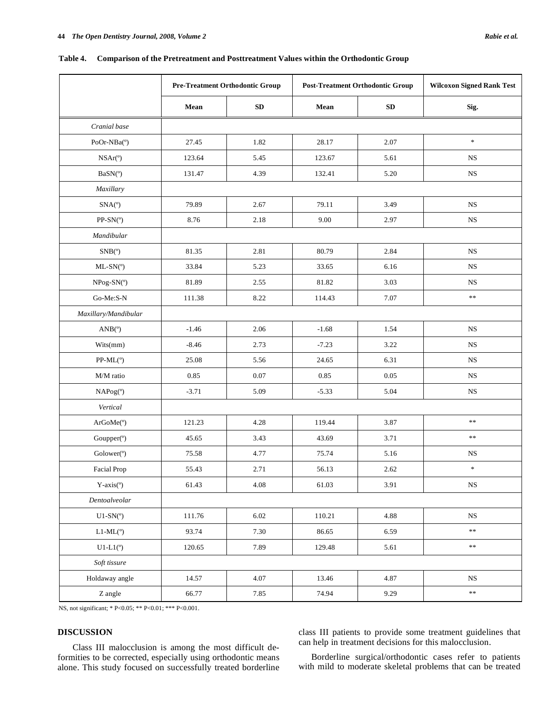|                           | <b>Pre-Treatment Orthodontic Group</b> |            |         | <b>Post-Treatment Orthodontic Group</b> | <b>Wilcoxon Signed Rank Test</b> |
|---------------------------|----------------------------------------|------------|---------|-----------------------------------------|----------------------------------|
|                           | Mean                                   | ${\bf SD}$ | Mean    | ${\bf SD}$                              | Sig.                             |
| Cranial base              |                                        |            |         |                                         |                                  |
| PoOr-NBa(°)               | 27.45                                  | 1.82       | 28.17   | 2.07                                    | $\frac{1}{2} \xi$                |
| NSAr(°)                   | 123.64                                 | 5.45       | 123.67  | 5.61                                    | <b>NS</b>                        |
| $BaSN(^{\circ})$          | 131.47                                 | 4.39       | 132.41  | 5.20                                    | <b>NS</b>                        |
| Maxillary                 |                                        |            |         |                                         |                                  |
| SNA(°)                    | 79.89                                  | 2.67       | 79.11   | 3.49                                    | $_{\rm NS}$                      |
| $PP-SN(°)$                | 8.76                                   | 2.18       | 9.00    | 2.97                                    | <b>NS</b>                        |
| Mandibular                |                                        |            |         |                                         |                                  |
| SNB(°)                    | 81.35                                  | 2.81       | 80.79   | 2.84                                    | <b>NS</b>                        |
| $ML-SN(°)$                | 33.84                                  | 5.23       | 33.65   | 6.16                                    | <b>NS</b>                        |
| NPog-SN(°)                | 81.89                                  | 2.55       | 81.82   | 3.03                                    | <b>NS</b>                        |
| Go-Me:S-N                 | 111.38                                 | 8.22       | 114.43  | 7.07                                    | $\ast\ast$                       |
| Maxillary/Mandibular      |                                        |            |         |                                         |                                  |
| ANB(°)                    | $-1.46$                                | 2.06       | $-1.68$ | 1.54                                    | $_{\rm NS}$                      |
| Wits(mm)                  | $-8.46$                                | 2.73       | $-7.23$ | 3.22                                    | <b>NS</b>                        |
| $PP-ML(°)$                | 25.08                                  | 5.56       | 24.65   | 6.31                                    | $_{\rm NS}$                      |
| $\text{M}/\text{M}$ ratio | 0.85                                   | $0.07\,$   | 0.85    | 0.05                                    | $_{\rm NS}$                      |
| NAPog(°)                  | $-3.71$                                | 5.09       | $-5.33$ | 5.04                                    | $_{\rm NS}$                      |
| Vertical                  |                                        |            |         |                                         |                                  |
| ArGoMe(°)                 | 121.23                                 | 4.28       | 119.44  | 3.87                                    | $\pm\pm$                         |
| Goupper(°)                | 45.65                                  | 3.43       | 43.69   | 3.71                                    | $\divideontimes$                 |
| Golower(°)                | 75.58                                  | 4.77       | 75.74   | 5.16                                    | <b>NS</b>                        |
| Facial Prop               | 55.43                                  | 2.71       | 56.13   | 2.62                                    | $\frac{1}{2^k}$                  |
| $Y-axis(°)$               | 61.43                                  | 4.08       | 61.03   | 3.91                                    | $_{\rm NS}$                      |
| Dentoalveolar             |                                        |            |         |                                         |                                  |
| $U1-SN(°)$                | 111.76                                 | 6.02       | 110.21  | 4.88                                    | $_{\rm NS}$                      |
| $L1-ML(°)$                | 93.74                                  | 7.30       | 86.65   | 6.59                                    | $\ast\ast$                       |
| $U1-L1$ <sup>o</sup>      | 120.65                                 | 7.89       | 129.48  | 5.61                                    | $\ast\ast$                       |
| Soft tissure              |                                        |            |         |                                         |                                  |
| Holdaway angle            | 14.57                                  | 4.07       | 13.46   | 4.87                                    | $_{\rm NS}$                      |
| Z angle                   | 66.77                                  | 7.85       | 74.94   | 9.29                                    | $\ast\ast$                       |

**Table 4. Comparison of the Pretreatment and Posttreatment Values within the Orthodontic Group** 

NS, not significant; \* P<0.05; \*\* P<0.01; \*\*\* P<0.001.

# **DISCUSSION**

 Class III malocclusion is among the most difficult deformities to be corrected, especially using orthodontic means alone. This study focused on successfully treated borderline class III patients to provide some treatment guidelines that can help in treatment decisions for this malocclusion.

 Borderline surgical/orthodontic cases refer to patients with mild to moderate skeletal problems that can be treated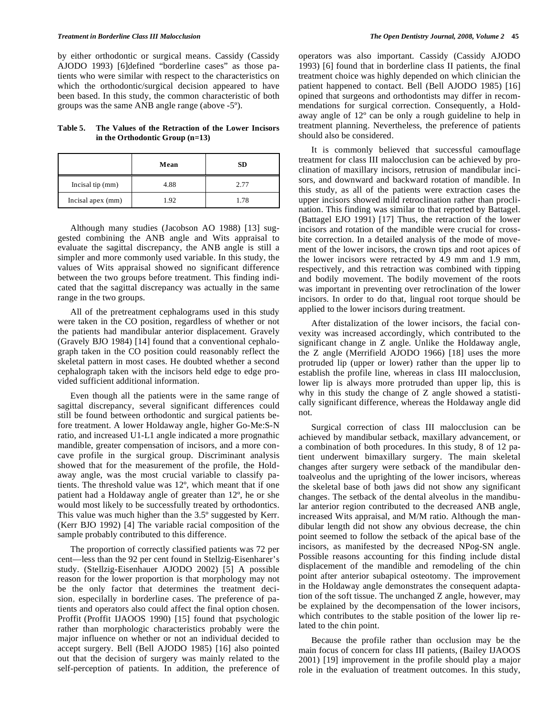by either orthodontic or surgical means. Cassidy (Cassidy AJODO 1993) [6]defined "borderline cases" as those patients who were similar with respect to the characteristics on which the orthodontic/surgical decision appeared to have been based. In this study, the common characteristic of both groups was the same ANB angle range (above -5º).

**Table 5. The Values of the Retraction of the Lower Incisors in the Orthodontic Group (n=13)** 

|                   | Mean | <b>SD</b> |
|-------------------|------|-----------|
| Incisal tip (mm)  | 4.88 | 2.77      |
| Incisal apex (mm) | 1.92 | 1.78      |

 Although many studies (Jacobson AO 1988) [13] suggested combining the ANB angle and Wits appraisal to evaluate the sagittal discrepancy, the ANB angle is still a simpler and more commonly used variable. In this study, the values of Wits appraisal showed no significant difference between the two groups before treatment. This finding indicated that the sagittal discrepancy was actually in the same range in the two groups.

 All of the pretreatment cephalograms used in this study were taken in the CO position, regardless of whether or not the patients had mandibular anterior displacement. Gravely (Gravely BJO 1984) [14] found that a conventional cephalograph taken in the CO position could reasonably reflect the skeletal pattern in most cases. He doubted whether a second cephalograph taken with the incisors held edge to edge provided sufficient additional information.

 Even though all the patients were in the same range of sagittal discrepancy, several significant differences could still be found between orthodontic and surgical patients before treatment. A lower Holdaway angle, higher Go-Me:S-N ratio, and increased U1-L1 angle indicated a more prognathic mandible, greater compensation of incisors, and a more concave profile in the surgical group. Discriminant analysis showed that for the measurement of the profile, the Holdaway angle, was the most crucial variable to classify patients. The threshold value was 12º, which meant that if one patient had a Holdaway angle of greater than 12º, he or she would most likely to be successfully treated by orthodontics. This value was much higher than the 3.5º suggested by Kerr. (Kerr BJO 1992) [4] The variable racial composition of the sample probably contributed to this difference.

 The proportion of correctly classified patients was 72 per cent—less than the 92 per cent found in Stellzig-Eisenharer's study. (Stellzig-Eisenhauer AJODO 2002) [5] A possible reason for the lower proportion is that morphology may not be the only factor that determines the treatment decision, especilally in borderline cases. The preference of patients and operators also could affect the final option chosen. Proffit (Proffit IJAOOS 1990) [15] found that psychologic rather than morphologic characteristics probably were the major influence on whether or not an individual decided to accept surgery. Bell (Bell AJODO 1985) [16] also pointed out that the decision of surgery was mainly related to the self-perception of patients. In addition, the preference of operators was also important. Cassidy (Cassidy AJODO 1993) [6] found that in borderline class II patients, the final treatment choice was highly depended on which clinician the patient happened to contact. Bell (Bell AJODO 1985) [16] opined that surgeons and orthodontists may differ in recommendations for surgical correction. Consequently, a Holdaway angle of 12º can be only a rough guideline to help in treatment planning. Nevertheless, the preference of patients should also be considered.

 It is commonly believed that successful camouflage treatment for class III malocclusion can be achieved by proclination of maxillary incisors, retrusion of mandibular incisors, and downward and backward rotation of mandible. In this study, as all of the patients were extraction cases the upper incisors showed mild retroclination rather than proclination. This finding was similar to that reported by Battagel. (Battagel EJO 1991) [17] Thus, the retraction of the lower incisors and rotation of the mandible were crucial for crossbite correction. In a detailed analysis of the mode of movement of the lower incisors, the crown tips and root apices of the lower incisors were retracted by 4.9 mm and 1.9 mm, respectively, and this retraction was combined with tipping and bodily movement. The bodily movement of the roots was important in preventing over retroclination of the lower incisors. In order to do that, lingual root torque should be applied to the lower incisors during treatment.

 After distalization of the lower incisors, the facial convexity was increased accordingly, which contributed to the significant change in Z angle. Unlike the Holdaway angle, the Z angle (Merrifield AJODO 1966) [18] uses the more protruded lip (upper or lower) rather than the upper lip to establish the profile line, whereas in class III malocclusion, lower lip is always more protruded than upper lip, this is why in this study the change of Z angle showed a statistically significant difference, whereas the Holdaway angle did not.

 Surgical correction of class III malocclusion can be achieved by mandibular setback, maxillary advancement, or a combination of both procedures. In this study, 8 of 12 patient underwent bimaxillary surgery. The main skeletal changes after surgery were setback of the mandibular dentoalveolus and the uprighting of the lower incisors, whereas the skeletal base of both jaws did not show any significant changes. The setback of the dental alveolus in the mandibular anterior region contributed to the decreased ANB angle, increased Wits appraisal, and M/M ratio. Although the mandibular length did not show any obvious decrease, the chin point seemed to follow the setback of the apical base of the incisors, as manifested by the decreased NPog-SN angle. Possible reasons accounting for this finding include distal displacement of the mandible and remodeling of the chin point after anterior subapical osteotomy. The improvement in the Holdaway angle demonstrates the consequent adaptation of the soft tissue. The unchanged Z angle, however, may be explained by the decompensation of the lower incisors, which contributes to the stable position of the lower lip related to the chin point.

 Because the profile rather than occlusion may be the main focus of concern for class III patients, (Bailey IJAOOS 2001) [19] improvement in the profile should play a major role in the evaluation of treatment outcomes. In this study,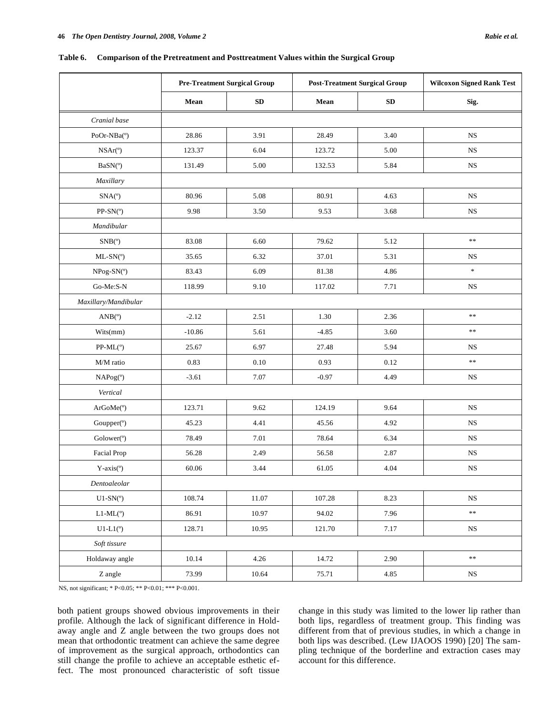|  |  | Rabie |
|--|--|-------|
|  |  |       |
|  |  |       |

|                                           |          | <b>Pre-Treatment Surgical Group</b> |         | <b>Post-Treatment Surgical Group</b> | <b>Wilcoxon Signed Rank Test</b> |
|-------------------------------------------|----------|-------------------------------------|---------|--------------------------------------|----------------------------------|
|                                           | Mean     | ${\bf SD}$                          | Mean    | ${\bf SD}$                           | Sig.                             |
| Cranial base                              |          |                                     |         |                                      |                                  |
| PoOr-NBa(°)                               | 28.86    | 3.91                                | 28.49   | 3.40                                 | $_{\rm NS}$                      |
| NSAr(°)                                   | 123.37   | 6.04                                | 123.72  | 5.00                                 | $_{\rm NS}$                      |
| BaSN(°)                                   | 131.49   | 5.00                                | 132.53  | 5.84                                 | $_{\rm NS}$                      |
| Maxillary                                 |          |                                     |         |                                      |                                  |
| SNA(°)                                    | 80.96    | 5.08                                | 80.91   | 4.63                                 | $_{\rm NS}$                      |
| $PP-SN(°)$                                | 9.98     | 3.50                                | 9.53    | 3.68                                 | <b>NS</b>                        |
| Mandibular                                |          |                                     |         |                                      |                                  |
| SNB(°)                                    | 83.08    | 6.60                                | 79.62   | 5.12                                 | $\ast\ast$                       |
| $ML-SN(°)$                                | 35.65    | 6.32                                | 37.01   | 5.31                                 | $_{\rm NS}$                      |
| NPog-SN(°)                                | 83.43    | 6.09                                | 81.38   | 4.86                                 | $\ast$                           |
| Go-Me:S-N                                 | 118.99   | 9.10                                | 117.02  | 7.71                                 | <b>NS</b>                        |
| Maxillary/Mandibular                      |          |                                     |         |                                      |                                  |
| ANB(°)                                    | $-2.12$  | 2.51                                | 1.30    | 2.36                                 | $\ast$                           |
| Wits(mm)                                  | $-10.86$ | 5.61                                | $-4.85$ | 3.60                                 | $\ast\ast$                       |
| $PP-ML(°)$                                | 25.67    | 6.97                                | 27.48   | 5.94                                 | <b>NS</b>                        |
| M/M ratio                                 | 0.83     | $0.10\,$                            | 0.93    | 0.12                                 | $\ast$                           |
| NAPog(°)                                  | $-3.61$  | 7.07                                | $-0.97$ | 4.49                                 | <b>NS</b>                        |
| Vertical                                  |          |                                     |         |                                      |                                  |
| ArGoMe(°)                                 | 123.71   | 9.62                                | 124.19  | 9.64                                 | $_{\rm NS}$                      |
| Goupper(°)                                | 45.23    | 4.41                                | 45.56   | 4.92                                 | $_{\rm NS}$                      |
| Golower(°)                                | 78.49    | 7.01                                | 78.64   | 6.34                                 | <b>NS</b>                        |
| Facial Prop                               | 56.28    | 2.49                                | 56.58   | 2.87                                 | $_{\rm NS}$                      |
| $Y-axis(°)$                               | 60.06    | 3.44                                | 61.05   | 4.04                                 | $_{\rm NS}$                      |
| Dentoaleolar                              |          |                                     |         |                                      |                                  |
| $U1-SN(°)$                                | 108.74   | 11.07                               | 107.28  | 8.23                                 | $_{\rm NS}$                      |
| $L1-ML(°)$                                | 86.91    | 10.97                               | 94.02   | 7.96                                 | $\ast\ast$                       |
| $U1-L1$ <sup>(<math>\degree</math>)</sup> | 128.71   | 10.95                               | 121.70  | 7.17                                 | $_{\rm NS}$                      |
| Soft tissure                              |          |                                     |         |                                      |                                  |
| Holdaway angle                            | 10.14    | 4.26                                | 14.72   | 2.90                                 | $\ast\ast$                       |
| Z angle                                   | 73.99    | 10.64                               | 75.71   | 4.85                                 | <b>NS</b>                        |

**Table 6. Comparison of the Pretreatment and Posttreatment Values within the Surgical Group** 

NS, not significant; \* P<0.05; \*\* P<0.01; \*\*\* P<0.001.

both patient groups showed obvious improvements in their profile. Although the lack of significant difference in Holdaway angle and Z angle between the two groups does not mean that orthodontic treatment can achieve the same degree of improvement as the surgical approach, orthodontics can still change the profile to achieve an acceptable esthetic effect. The most pronounced characteristic of soft tissue change in this study was limited to the lower lip rather than both lips, regardless of treatment group. This finding was different from that of previous studies, in which a change in both lips was described. (Lew IJAOOS 1990) [20] The sampling technique of the borderline and extraction cases may account for this difference.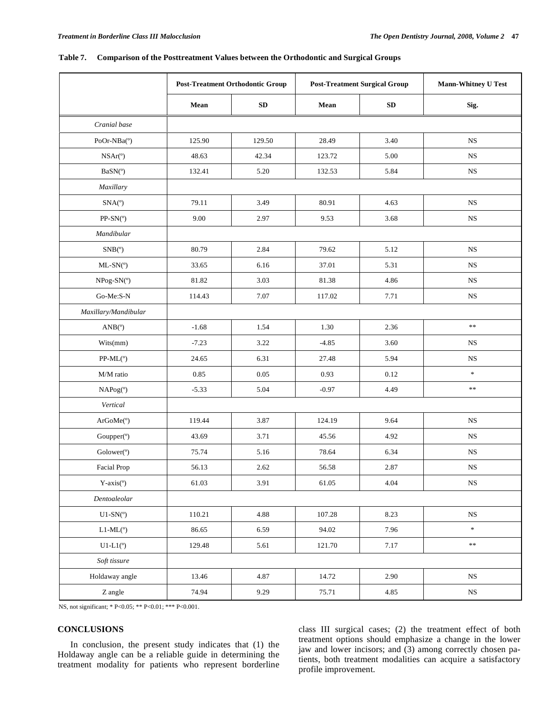|                      | <b>Post-Treatment Orthodontic Group</b> |            | <b>Post-Treatment Surgical Group</b> |            | Mann-Whitney U Test |
|----------------------|-----------------------------------------|------------|--------------------------------------|------------|---------------------|
|                      | Mean                                    | ${\bf SD}$ | Mean                                 | ${\bf SD}$ | Sig.                |
| Cranial base         |                                         |            |                                      |            |                     |
| PoOr-NBa(°)          | 125.90                                  | 129.50     | 28.49                                | 3.40       | <b>NS</b>           |
| NSAr(°)              | 48.63                                   | 42.34      | 123.72                               | 5.00       | $_{\rm NS}$         |
| BaSN(°)              | 132.41                                  | 5.20       | 132.53                               | 5.84       | $_{\rm NS}$         |
| Maxillary            |                                         |            |                                      |            |                     |
| SNA(°)               | 79.11                                   | 3.49       | 80.91                                | 4.63       | $_{\rm NS}$         |
| $PP-SN(°)$           | 9.00                                    | 2.97       | 9.53                                 | 3.68       | $_{\rm NS}$         |
| Mandibular           |                                         |            |                                      |            |                     |
| SNB(°)               | 80.79                                   | 2.84       | 79.62                                | 5.12       | $_{\rm NS}$         |
| $ML-SN(°)$           | 33.65                                   | 6.16       | 37.01                                | 5.31       | <b>NS</b>           |
| NPog-SN(°)           | 81.82                                   | 3.03       | 81.38                                | 4.86       | $_{\rm NS}$         |
| $Go-Me: S-N$         | 114.43                                  | 7.07       | 117.02                               | 7.71       | $_{\rm NS}$         |
| Maxillary/Mandibular |                                         |            |                                      |            |                     |
| ANB(°)               | $-1.68$                                 | 1.54       | 1.30                                 | 2.36       | $\ast$              |
| Wits(mm)             | $-7.23$                                 | 3.22       | $-4.85$                              | 3.60       | $_{\rm NS}$         |
| $PP-ML(°)$           | 24.65                                   | 6.31       | 27.48                                | 5.94       | <b>NS</b>           |
| M/M ratio            | 0.85                                    | 0.05       | 0.93                                 | 0.12       | $\frac{1}{2}$       |
| NAPog(°)             | $-5.33$                                 | 5.04       | $-0.97$                              | 4.49       | $\ast$              |
| Vertical             |                                         |            |                                      |            |                     |
| ArGoMe(°)            | 119.44                                  | 3.87       | 124.19                               | 9.64       | <b>NS</b>           |
| Goupper(°)           | 43.69                                   | 3.71       | 45.56                                | 4.92       | $_{\rm NS}$         |
| Golower(°)           | 75.74                                   | 5.16       | 78.64                                | 6.34       | <b>NS</b>           |
| Facial Prop          | 56.13                                   | 2.62       | 56.58                                | 2.87       | $_{\rm NS}$         |
| $Y-axis(°)$          | 61.03                                   | 3.91       | 61.05                                | 4.04       | $_{\rm NS}$         |
| Dentoaleolar         |                                         |            |                                      |            |                     |
| $U1-SN(°)$           | 110.21                                  | 4.88       | 107.28                               | 8.23       | $_{\rm NS}$         |
| $L1-ML(°)$           | 86.65                                   | 6.59       | 94.02                                | 7.96       | $\ast$              |
| $U1-L1$ <sup>o</sup> | 129.48                                  | 5.61       | 121.70                               | 7.17       | $\ast\ast$          |
| Soft tissure         |                                         |            |                                      |            |                     |
| Holdaway angle       | 13.46                                   | 4.87       | 14.72                                | 2.90       | $_{\rm NS}$         |
| Z angle              | 74.94                                   | 9.29       | 75.71                                | 4.85       | $_{\rm NS}$         |

# **Table 7. Comparison of the Posttreatment Values between the Orthodontic and Surgical Groups**

NS, not significant; \* P<0.05; \*\* P<0.01; \*\*\* P<0.001.

# **CONCLUSIONS**

In conclusion, the present study indicates that (1) the Holdaway angle can be a reliable guide in determining the treatment modality for patients who represent borderline

class III surgical cases; (2) the treatment effect of both treatment options should emphasize a change in the lower jaw and lower incisors; and (3) among correctly chosen patients, both treatment modalities can acquire a satisfactory profile improvement.